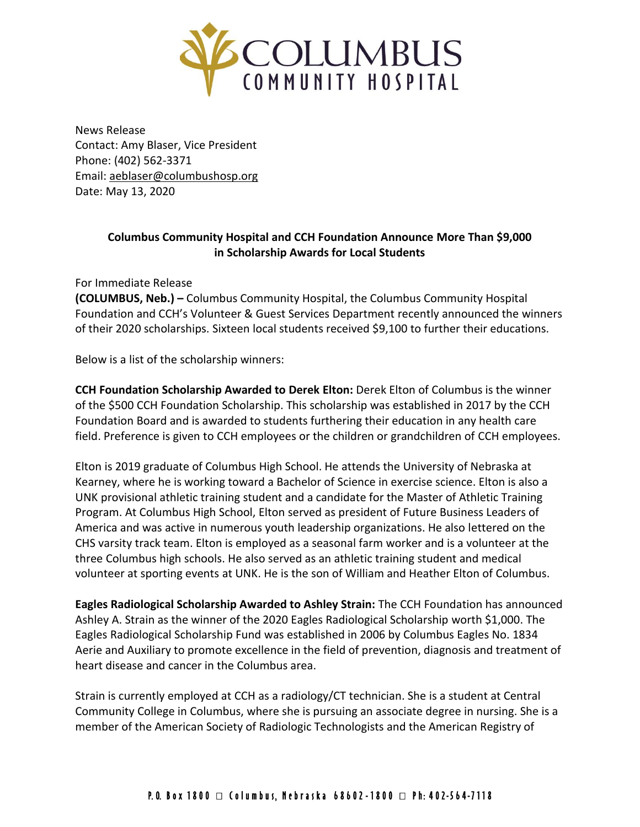

News Release Contact: Amy Blaser, Vice President Phone: (402) 562-3371 Email: [aeblaser@columbushosp.org](mailto:aeblaser@columbushosp.org) Date: May 13, 2020

## **Columbus Community Hospital and CCH Foundation Announce More Than \$9,000 in Scholarship Awards for Local Students**

For Immediate Release

**(COLUMBUS, Neb.) –** Columbus Community Hospital, the Columbus Community Hospital Foundation and CCH's Volunteer & Guest Services Department recently announced the winners of their 2020 scholarships. Sixteen local students received \$9,100 to further their educations.

Below is a list of the scholarship winners:

**CCH Foundation Scholarship Awarded to Derek Elton:** Derek Elton of Columbus is the winner of the \$500 CCH Foundation Scholarship. This scholarship was established in 2017 by the CCH Foundation Board and is awarded to students furthering their education in any health care field. Preference is given to CCH employees or the children or grandchildren of CCH employees.

Elton is 2019 graduate of Columbus High School. He attends the University of Nebraska at Kearney, where he is working toward a Bachelor of Science in exercise science. Elton is also a UNK provisional athletic training student and a candidate for the Master of Athletic Training Program. At Columbus High School, Elton served as president of Future Business Leaders of America and was active in numerous youth leadership organizations. He also lettered on the CHS varsity track team. Elton is employed as a seasonal farm worker and is a volunteer at the three Columbus high schools. He also served as an athletic training student and medical volunteer at sporting events at UNK. He is the son of William and Heather Elton of Columbus.

**Eagles Radiological Scholarship Awarded to Ashley Strain:** The CCH Foundation has announced Ashley A. Strain as the winner of the 2020 Eagles Radiological Scholarship worth \$1,000. The Eagles Radiological Scholarship Fund was established in 2006 by Columbus Eagles No. 1834 Aerie and Auxiliary to promote excellence in the field of prevention, diagnosis and treatment of heart disease and cancer in the Columbus area.

Strain is currently employed at CCH as a radiology/CT technician. She is a student at Central Community College in Columbus, where she is pursuing an associate degree in nursing. She is a member of the American Society of Radiologic Technologists and the American Registry of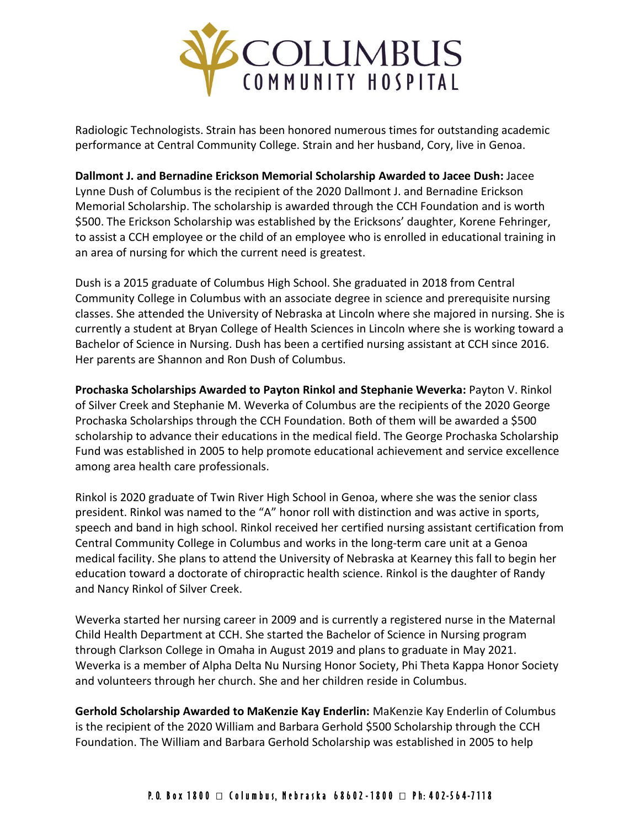

Radiologic Technologists. Strain has been honored numerous times for outstanding academic performance at Central Community College. Strain and her husband, Cory, live in Genoa.

**Dallmont J. and Bernadine Erickson Memorial Scholarship Awarded to Jacee Dush:** Jacee Lynne Dush of Columbus is the recipient of the 2020 Dallmont J. and Bernadine Erickson Memorial Scholarship. The scholarship is awarded through the CCH Foundation and is worth \$500. The Erickson Scholarship was established by the Ericksons' daughter, Korene Fehringer, to assist a CCH employee or the child of an employee who is enrolled in educational training in an area of nursing for which the current need is greatest.

Dush is a 2015 graduate of Columbus High School. She graduated in 2018 from Central Community College in Columbus with an associate degree in science and prerequisite nursing classes. She attended the University of Nebraska at Lincoln where she majored in nursing. She is currently a student at Bryan College of Health Sciences in Lincoln where she is working toward a Bachelor of Science in Nursing. Dush has been a certified nursing assistant at CCH since 2016. Her parents are Shannon and Ron Dush of Columbus.

**Prochaska Scholarships Awarded to Payton Rinkol and Stephanie Weverka:** Payton V. Rinkol of Silver Creek and Stephanie M. Weverka of Columbus are the recipients of the 2020 George Prochaska Scholarships through the CCH Foundation. Both of them will be awarded a \$500 scholarship to advance their educations in the medical field. The George Prochaska Scholarship Fund was established in 2005 to help promote educational achievement and service excellence among area health care professionals.

Rinkol is 2020 graduate of Twin River High School in Genoa, where she was the senior class president. Rinkol was named to the "A" honor roll with distinction and was active in sports, speech and band in high school. Rinkol received her certified nursing assistant certification from Central Community College in Columbus and works in the long-term care unit at a Genoa medical facility. She plans to attend the University of Nebraska at Kearney this fall to begin her education toward a doctorate of chiropractic health science. Rinkol is the daughter of Randy and Nancy Rinkol of Silver Creek.

Weverka started her nursing career in 2009 and is currently a registered nurse in the Maternal Child Health Department at CCH. She started the Bachelor of Science in Nursing program through Clarkson College in Omaha in August 2019 and plans to graduate in May 2021. Weverka is a member of Alpha Delta Nu Nursing Honor Society, Phi Theta Kappa Honor Society and volunteers through her church. She and her children reside in Columbus.

**Gerhold Scholarship Awarded to MaKenzie Kay Enderlin:** MaKenzie Kay Enderlin of Columbus is the recipient of the 2020 William and Barbara Gerhold \$500 Scholarship through the CCH Foundation. The William and Barbara Gerhold Scholarship was established in 2005 to help

## P.O. Box 1800 □ Columbus, Nebraska 68602-1800 □ Ph: 402-564-7118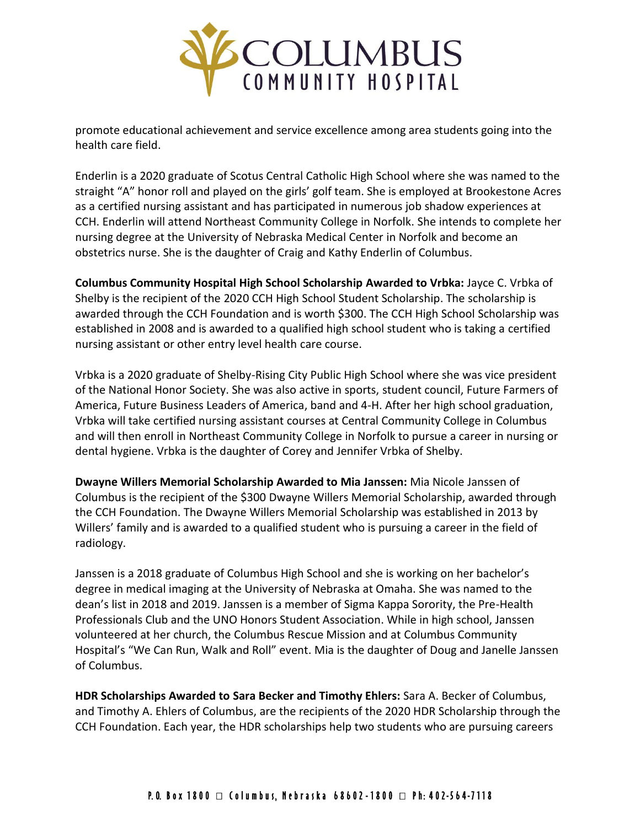

promote educational achievement and service excellence among area students going into the health care field.

Enderlin is a 2020 graduate of Scotus Central Catholic High School where she was named to the straight "A" honor roll and played on the girls' golf team. She is employed at Brookestone Acres as a certified nursing assistant and has participated in numerous job shadow experiences at CCH. Enderlin will attend Northeast Community College in Norfolk. She intends to complete her nursing degree at the University of Nebraska Medical Center in Norfolk and become an obstetrics nurse. She is the daughter of Craig and Kathy Enderlin of Columbus.

**Columbus Community Hospital High School Scholarship Awarded to Vrbka:** Jayce C. Vrbka of Shelby is the recipient of the 2020 CCH High School Student Scholarship. The scholarship is awarded through the CCH Foundation and is worth \$300. The CCH High School Scholarship was established in 2008 and is awarded to a qualified high school student who is taking a certified nursing assistant or other entry level health care course.

Vrbka is a 2020 graduate of Shelby-Rising City Public High School where she was vice president of the National Honor Society. She was also active in sports, student council, Future Farmers of America, Future Business Leaders of America, band and 4-H. After her high school graduation, Vrbka will take certified nursing assistant courses at Central Community College in Columbus and will then enroll in Northeast Community College in Norfolk to pursue a career in nursing or dental hygiene. Vrbka is the daughter of Corey and Jennifer Vrbka of Shelby.

**Dwayne Willers Memorial Scholarship Awarded to Mia Janssen:** Mia Nicole Janssen of Columbus is the recipient of the \$300 Dwayne Willers Memorial Scholarship, awarded through the CCH Foundation. The Dwayne Willers Memorial Scholarship was established in 2013 by Willers' family and is awarded to a qualified student who is pursuing a career in the field of radiology.

Janssen is a 2018 graduate of Columbus High School and she is working on her bachelor's degree in medical imaging at the University of Nebraska at Omaha. She was named to the dean's list in 2018 and 2019. Janssen is a member of Sigma Kappa Sorority, the Pre-Health Professionals Club and the UNO Honors Student Association. While in high school, Janssen volunteered at her church, the Columbus Rescue Mission and at Columbus Community Hospital's "We Can Run, Walk and Roll" event. Mia is the daughter of Doug and Janelle Janssen of Columbus.

**HDR Scholarships Awarded to Sara Becker and Timothy Ehlers:** Sara A. Becker of Columbus, and Timothy A. Ehlers of Columbus, are the recipients of the 2020 HDR Scholarship through the CCH Foundation. Each year, the HDR scholarships help two students who are pursuing careers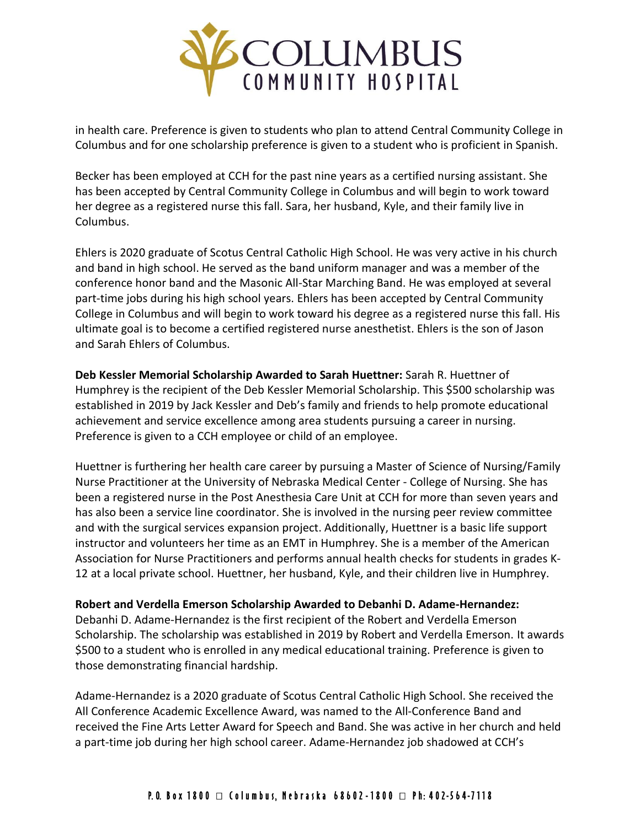

in health care. Preference is given to students who plan to attend Central Community College in Columbus and for one scholarship preference is given to a student who is proficient in Spanish.

Becker has been employed at CCH for the past nine years as a certified nursing assistant. She has been accepted by Central Community College in Columbus and will begin to work toward her degree as a registered nurse this fall. Sara, her husband, Kyle, and their family live in Columbus.

Ehlers is 2020 graduate of Scotus Central Catholic High School. He was very active in his church and band in high school. He served as the band uniform manager and was a member of the conference honor band and the Masonic All-Star Marching Band. He was employed at several part-time jobs during his high school years. Ehlers has been accepted by Central Community College in Columbus and will begin to work toward his degree as a registered nurse this fall. His ultimate goal is to become a certified registered nurse anesthetist. Ehlers is the son of Jason and Sarah Ehlers of Columbus.

**Deb Kessler Memorial Scholarship Awarded to Sarah Huettner:** Sarah R. Huettner of Humphrey is the recipient of the Deb Kessler Memorial Scholarship. This \$500 scholarship was established in 2019 by Jack Kessler and Deb's family and friends to help promote educational achievement and service excellence among area students pursuing a career in nursing. Preference is given to a CCH employee or child of an employee.

Huettner is furthering her health care career by pursuing a Master of Science of Nursing/Family Nurse Practitioner at the University of Nebraska Medical Center - College of Nursing. She has been a registered nurse in the Post Anesthesia Care Unit at CCH for more than seven years and has also been a service line coordinator. She is involved in the nursing peer review committee and with the surgical services expansion project. Additionally, Huettner is a basic life support instructor and volunteers her time as an EMT in Humphrey. She is a member of the American Association for Nurse Practitioners and performs annual health checks for students in grades K-12 at a local private school. Huettner, her husband, Kyle, and their children live in Humphrey.

**Robert and Verdella Emerson Scholarship Awarded to Debanhi D. Adame-Hernandez:**  Debanhi D. Adame-Hernandez is the first recipient of the Robert and Verdella Emerson Scholarship. The scholarship was established in 2019 by Robert and Verdella Emerson. It awards \$500 to a student who is enrolled in any medical educational training. Preference is given to those demonstrating financial hardship.

Adame-Hernandez is a 2020 graduate of Scotus Central Catholic High School. She received the All Conference Academic Excellence Award, was named to the All-Conference Band and received the Fine Arts Letter Award for Speech and Band. She was active in her church and held a part-time job during her high school career. Adame-Hernandez job shadowed at CCH's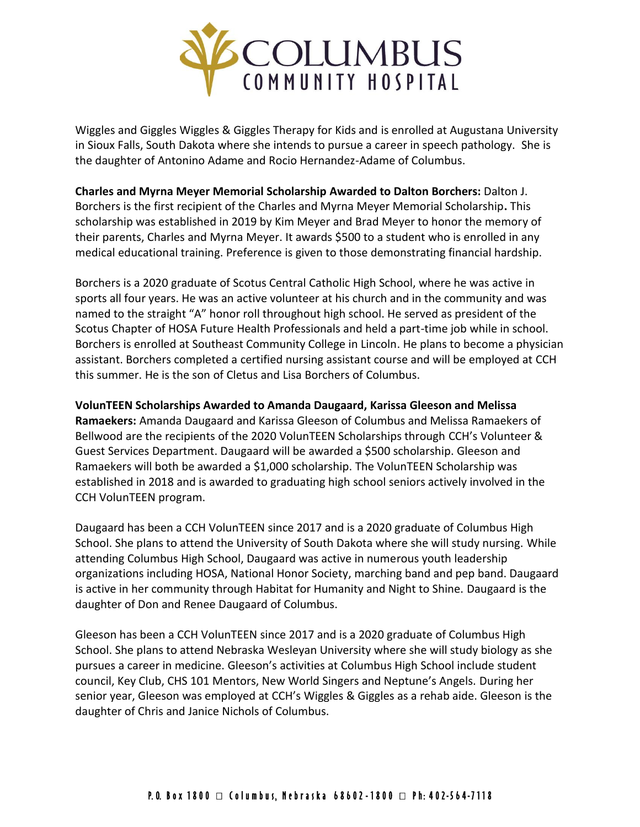

Wiggles and Giggles Wiggles & Giggles Therapy for Kids and is enrolled at Augustana University in Sioux Falls, South Dakota where she intends to pursue a career in speech pathology. She is the daughter of Antonino Adame and Rocio Hernandez-Adame of Columbus.

**Charles and Myrna Meyer Memorial Scholarship Awarded to Dalton Borchers:** Dalton J. Borchers is the first recipient of the Charles and Myrna Meyer Memorial Scholarship**.** This scholarship was established in 2019 by Kim Meyer and Brad Meyer to honor the memory of their parents, Charles and Myrna Meyer. It awards \$500 to a student who is enrolled in any medical educational training. Preference is given to those demonstrating financial hardship.

Borchers is a 2020 graduate of Scotus Central Catholic High School, where he was active in sports all four years. He was an active volunteer at his church and in the community and was named to the straight "A" honor roll throughout high school. He served as president of the Scotus Chapter of HOSA Future Health Professionals and held a part-time job while in school. Borchers is enrolled at Southeast Community College in Lincoln. He plans to become a physician assistant. Borchers completed a certified nursing assistant course and will be employed at CCH this summer. He is the son of Cletus and Lisa Borchers of Columbus.

**VolunTEEN Scholarships Awarded to Amanda Daugaard, Karissa Gleeson and Melissa Ramaekers:** Amanda Daugaard and Karissa Gleeson of Columbus and Melissa Ramaekers of Bellwood are the recipients of the 2020 VolunTEEN Scholarships through CCH's Volunteer & Guest Services Department. Daugaard will be awarded a \$500 scholarship. Gleeson and Ramaekers will both be awarded a \$1,000 scholarship. The VolunTEEN Scholarship was established in 2018 and is awarded to graduating high school seniors actively involved in the CCH VolunTEEN program.

Daugaard has been a CCH VolunTEEN since 2017 and is a 2020 graduate of Columbus High School. She plans to attend the University of South Dakota where she will study nursing. While attending Columbus High School, Daugaard was active in numerous youth leadership organizations including HOSA, National Honor Society, marching band and pep band. Daugaard is active in her community through Habitat for Humanity and Night to Shine. Daugaard is the daughter of Don and Renee Daugaard of Columbus.

Gleeson has been a CCH VolunTEEN since 2017 and is a 2020 graduate of Columbus High School. She plans to attend Nebraska Wesleyan University where she will study biology as she pursues a career in medicine. Gleeson's activities at Columbus High School include student council, Key Club, CHS 101 Mentors, New World Singers and Neptune's Angels. During her senior year, Gleeson was employed at CCH's Wiggles & Giggles as a rehab aide. Gleeson is the daughter of Chris and Janice Nichols of Columbus.